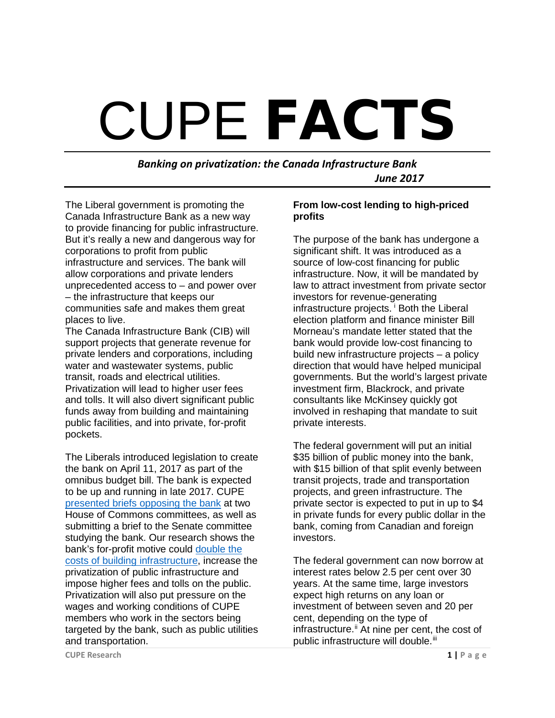# CUPE **FACTS**

*Banking on privatization: the Canada Infrastructure Bank June 2017*

The Liberal government is promoting the Canada Infrastructure Bank as a new way to provide financing for public infrastructure. But it's really a new and dangerous way for corporations to profit from public infrastructure and services. The bank will allow corporations and private lenders unprecedented access to – and power over – the infrastructure that keeps our communities safe and makes them great places to live.

The Canada Infrastructure Bank (CIB) will support projects that generate revenue for private lenders and corporations, including water and wastewater systems, public transit, roads and electrical utilities. Privatization will lead to higher user fees and tolls. It will also divert significant public funds away from building and maintaining public facilities, and into private, for-profit pockets.

The Liberals introduced legislation to create the bank on April 11, 2017 as part of the omnibus budget bill. The bank is expected to be up and running in late 2017. CUPE [presented briefs opposing the bank](https://cupe.ca/scrap-bank-privatization-build-infrastructure-canadians) at two House of Commons committees, as well as submitting a brief to the Senate committee studying the bank. Our research shows the bank's for-profit motive could [double the](https://cupe.ca/creating-canadian-infrastructure-bank-public-interest)  [costs of building infrastructure,](https://cupe.ca/creating-canadian-infrastructure-bank-public-interest) increase the privatization of public infrastructure and impose higher fees and tolls on the public. Privatization will also put pressure on the wages and working conditions of CUPE members who work in the sectors being targeted by the bank, such as public utilities and transportation.

### **From low-cost lending to high-priced profits**

The purpose of the bank has undergone a significant shift. It was introduced as a source of low-cost financing for public infrastructure. Now, it will be mandated by law to attract investment from private sector investors for revenue-generating [i](#page-3-0)nfrastructure projects.<sup>*i*</sup> Both the Liberal election platform and finance minister Bill Morneau's mandate letter stated that the bank would provide low-cost financing to build new infrastructure projects – a policy direction that would have helped municipal governments. But the world's largest private investment firm, Blackrock, and private consultants like McKinsey quickly got involved in reshaping that mandate to suit private interests.

The federal government will put an initial \$35 billion of public money into the bank, with \$15 billion of that split evenly between transit projects, trade and transportation projects, and green infrastructure. The private sector is expected to put in up to \$4 in private funds for every public dollar in the bank, coming from Canadian and foreign investors.

The federal government can now borrow at interest rates below 2.5 per cent over 30 years. At the same time, large investors expect high returns on any loan or investment of between seven and 20 per cent, depending on the type of infrastructure.<sup>[ii](#page-3-1)</sup> At nine per cent, the cost of public infrastructure will double.<sup>[iii](#page-3-2)</sup>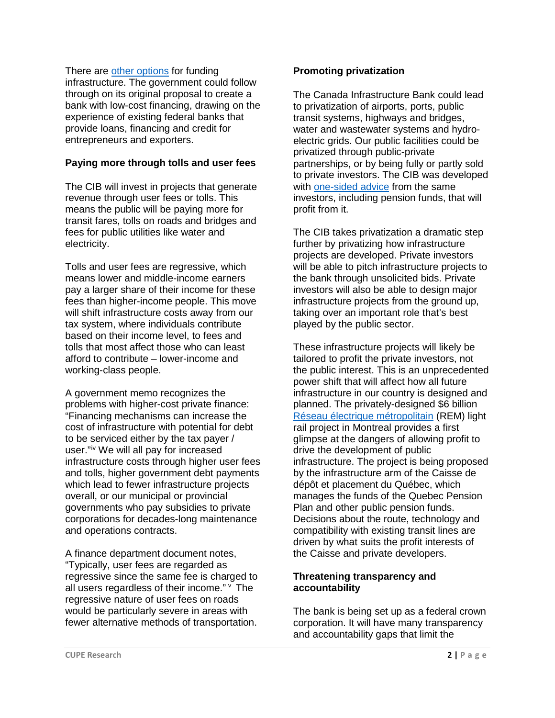There are [other options](https://www.policyalternatives.ca/newsroom/news-releases/private-financing-infrastructure-bank-could-double-cost-infrastructure) for funding infrastructure. The government could follow through on its original proposal to create a bank with low-cost financing, drawing on the experience of existing federal banks that provide loans, financing and credit for entrepreneurs and exporters.

## **Paying more through tolls and user fees**

The CIB will invest in projects that generate revenue through user fees or tolls. This means the public will be paying more for transit fares, tolls on roads and bridges and fees for public utilities like water and electricity.

Tolls and user fees are regressive, which means lower and middle-income earners pay a larger share of their income for these fees than higher-income people. This move will shift infrastructure costs away from our tax system, where individuals contribute based on their income level, to fees and tolls that most affect those who can least afford to contribute – lower-income and working-class people.

A government memo recognizes the problems with higher-cost private finance: "Financing mechanisms can increase the cost of infrastructure with potential for debt to be serviced either by the tax payer / user."[iv](#page-3-3) We will all pay for increased infrastructure costs through higher user fees and tolls, higher government debt payments which lead to fewer infrastructure projects overall, or our municipal or provincial governments who pay subsidies to private corporations for decades-long maintenance and operations contracts.

A finance department document notes, "Typically, user fees are regarded as regressive since the same fee is charged to all users regardless of their income."  $\vee$  $\vee$  $\vee$  The regressive nature of user fees on roads would be particularly severe in areas with fewer alternative methods of transportation.

## **Promoting privatization**

The Canada Infrastructure Bank could lead to privatization of airports, ports, public transit systems, highways and bridges, water and wastewater systems and hydroelectric grids. Our public facilities could be privatized through public-private partnerships, or by being fully or partly sold to private investors. The CIB was developed with [one-sided advice](https://cupe.ca/documents-expose-dangers-liberal-privatization-bank) from the same investors, including pension funds, that will profit from it.

The CIB takes privatization a dramatic step further by privatizing how infrastructure projects are developed. Private investors will be able to pitch infrastructure projects to the bank through unsolicited bids. Private investors will also be able to design major infrastructure projects from the ground up, taking over an important role that's best played by the public sector.

These infrastructure projects will likely be tailored to profit the private investors, not the public interest. This is an unprecedented power shift that will affect how all future infrastructure in our country is designed and planned. The privately-designed \$6 billion [Réseau électrique métropolitain](https://cupe.ca/montreal-p3-light-rail-new-analysis-shows-public-will-pay-private-profits) (REM) light rail project in Montreal provides a first glimpse at the dangers of allowing profit to drive the development of public infrastructure. The project is being proposed by the infrastructure arm of the Caisse de dépôt et placement du Québec, which manages the funds of the Quebec Pension Plan and other public pension funds. Decisions about the route, technology and compatibility with existing transit lines are driven by what suits the profit interests of the Caisse and private developers.

# **Threatening transparency and accountability**

The bank is being set up as a federal crown corporation. It will have many transparency and accountability gaps that limit the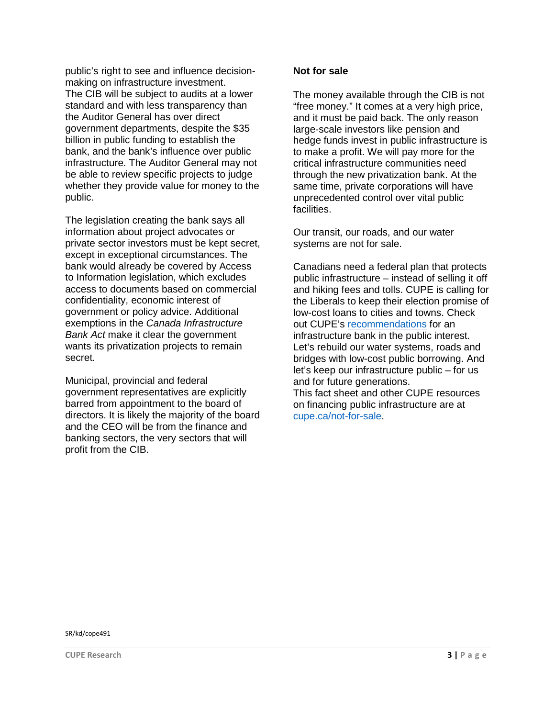public's right to see and influence decisionmaking on infrastructure investment. The CIB will be subject to audits at a lower standard and with less transparency than the Auditor General has over direct government departments, despite the \$35 billion in public funding to establish the bank, and the bank's influence over public infrastructure. The Auditor General may not be able to review specific projects to judge whether they provide value for money to the public.

The legislation creating the bank says all information about project advocates or private sector investors must be kept secret, except in exceptional circumstances. The bank would already be covered by Access to Information legislation, which excludes access to documents based on commercial confidentiality, economic interest of government or policy advice. Additional exemptions in the *Canada Infrastructure Bank Act* make it clear the government wants its privatization projects to remain secret.

Municipal, provincial and federal government representatives are explicitly barred from appointment to the board of directors. It is likely the majority of the board and the CEO will be from the finance and banking sectors, the very sectors that will profit from the CIB.

### **Not for sale**

The money available through the CIB is not "free money." It comes at a very high price, and it must be paid back. The only reason large-scale investors like pension and hedge funds invest in public infrastructure is to make a profit. We will pay more for the critical infrastructure communities need through the new privatization bank. At the same time, private corporations will have unprecedented control over vital public facilities.

Our transit, our roads, and our water systems are not for sale.

Canadians need a federal plan that protects public infrastructure – instead of selling it off and hiking fees and tolls. CUPE is calling for the Liberals to keep their election promise of low-cost loans to cities and towns. Check out CUPE's [recommendations](https://cupe.ca/scrap-bank-privatization-build-infrastructure-canadians) for an infrastructure bank in the public interest. Let's rebuild our water systems, roads and bridges with low-cost public borrowing. And let's keep our infrastructure public – for us and for future generations. This fact sheet and other CUPE resources on financing public infrastructure are at

cupe.ca/not-for-sale.